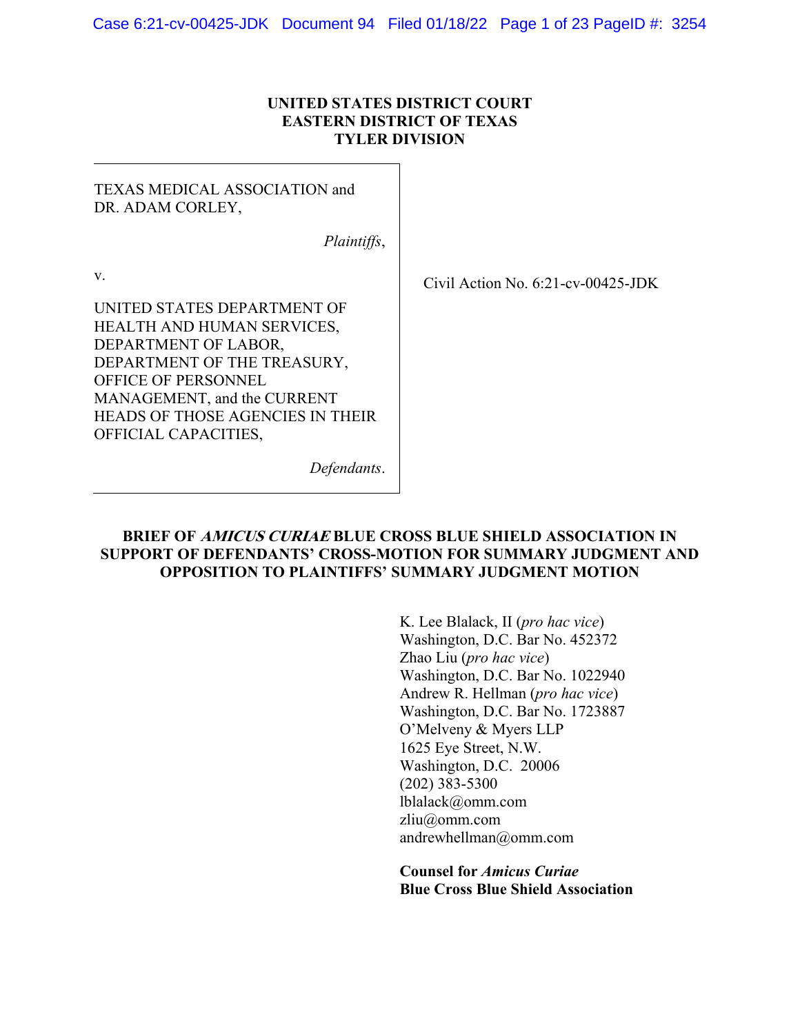## **UNITED STATES DISTRICT COURT EASTERN DISTRICT OF TEXAS TYLER DIVISION**

TEXAS MEDICAL ASSOCIATION and DR. ADAM CORLEY,

*Plaintiffs*,

v.

Civil Action No. 6:21-cv-00425-JDK

UNITED STATES DEPARTMENT OF HEALTH AND HUMAN SERVICES, DEPARTMENT OF LABOR, DEPARTMENT OF THE TREASURY, OFFICE OF PERSONNEL MANAGEMENT, and the CURRENT HEADS OF THOSE AGENCIES IN THEIR OFFICIAL CAPACITIES,

*Defendants*.

## **BRIEF OF AMICUS CURIAE BLUE CROSS BLUE SHIELD ASSOCIATION IN SUPPORT OF DEFENDANTS' CROSS-MOTION FOR SUMMARY JUDGMENT AND OPPOSITION TO PLAINTIFFS' SUMMARY JUDGMENT MOTION**

K. Lee Blalack, II (*pro hac vice*) Washington, D.C. Bar No. 452372 Zhao Liu (*pro hac vice*) Washington, D.C. Bar No. 1022940 Andrew R. Hellman (*pro hac vice*) Washington, D.C. Bar No. 1723887 O'Melveny & Myers LLP 1625 Eye Street, N.W. Washington, D.C. 20006 (202) 383-5300 lblalack@omm.com zliu@omm.com andrewhellman@omm.com

**Counsel for** *Amicus Curiae* **Blue Cross Blue Shield Association**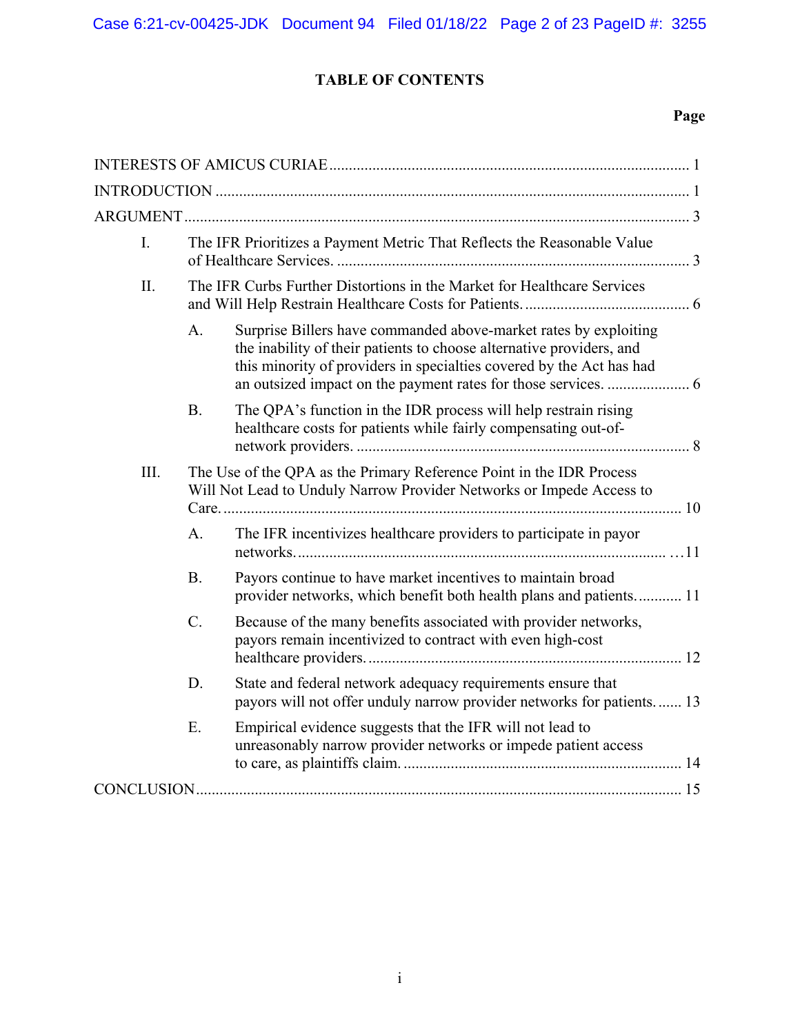Case 6:21-cv-00425-JDK Document 94 Filed 01/18/22 Page 2 of 23 PageID #: 3255

# **TABLE OF CONTENTS**

# **Page**

| I.   | The IFR Prioritizes a Payment Metric That Reflects the Reasonable Value                                                                      |                                                                                                                                                                                                                  |  |
|------|----------------------------------------------------------------------------------------------------------------------------------------------|------------------------------------------------------------------------------------------------------------------------------------------------------------------------------------------------------------------|--|
| II.  | The IFR Curbs Further Distortions in the Market for Healthcare Services                                                                      |                                                                                                                                                                                                                  |  |
|      | A.                                                                                                                                           | Surprise Billers have commanded above-market rates by exploiting<br>the inability of their patients to choose alternative providers, and<br>this minority of providers in specialties covered by the Act has had |  |
|      | <b>B.</b>                                                                                                                                    | The QPA's function in the IDR process will help restrain rising<br>healthcare costs for patients while fairly compensating out-of-                                                                               |  |
| III. | The Use of the QPA as the Primary Reference Point in the IDR Process<br>Will Not Lead to Unduly Narrow Provider Networks or Impede Access to |                                                                                                                                                                                                                  |  |
|      | A <sub>1</sub>                                                                                                                               | The IFR incentivizes healthcare providers to participate in payor                                                                                                                                                |  |
|      | <b>B.</b>                                                                                                                                    | Payors continue to have market incentives to maintain broad<br>provider networks, which benefit both health plans and patients 11                                                                                |  |
|      | $C_{\cdot}$                                                                                                                                  | Because of the many benefits associated with provider networks,<br>payors remain incentivized to contract with even high-cost                                                                                    |  |
|      | D.                                                                                                                                           | State and federal network adequacy requirements ensure that<br>payors will not offer unduly narrow provider networks for patients 13                                                                             |  |
|      | E.                                                                                                                                           | Empirical evidence suggests that the IFR will not lead to<br>unreasonably narrow provider networks or impede patient access                                                                                      |  |
|      |                                                                                                                                              |                                                                                                                                                                                                                  |  |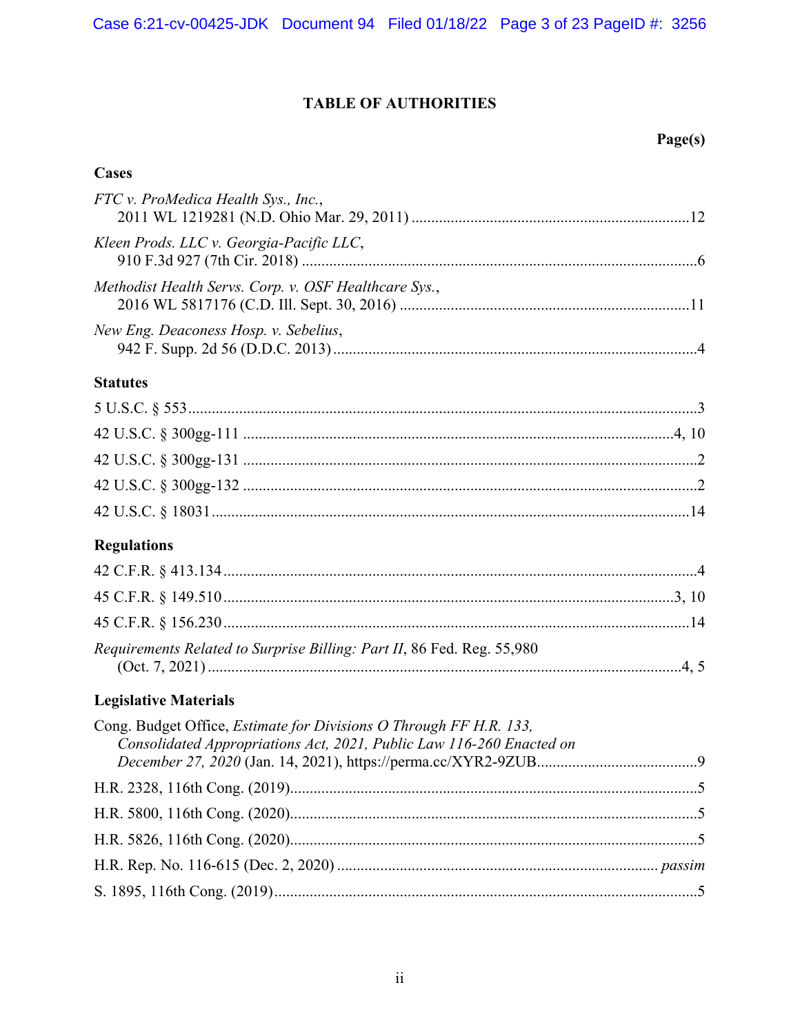# **TABLE OF AUTHORITIES**

# Page(s)

# **Cases**

| FTC v. ProMedica Health Sys., Inc.,                                    |
|------------------------------------------------------------------------|
| Kleen Prods. LLC v. Georgia-Pacific LLC,                               |
| Methodist Health Servs. Corp. v. OSF Healthcare Sys.,                  |
| New Eng. Deaconess Hosp. v. Sebelius,                                  |
| <b>Statutes</b>                                                        |
|                                                                        |
|                                                                        |
|                                                                        |
|                                                                        |
|                                                                        |
| <b>Regulations</b>                                                     |
|                                                                        |
|                                                                        |
|                                                                        |
| Requirements Related to Surprise Billing: Part II, 86 Fed. Reg. 55,980 |

# **Legislative Materials**

| Cong. Budget Office, <i>Estimate for Divisions O Through FF H.R.</i> 133, |  |
|---------------------------------------------------------------------------|--|
| Consolidated Appropriations Act, 2021, Public Law 116-260 Enacted on      |  |
|                                                                           |  |
|                                                                           |  |
|                                                                           |  |
|                                                                           |  |
|                                                                           |  |
|                                                                           |  |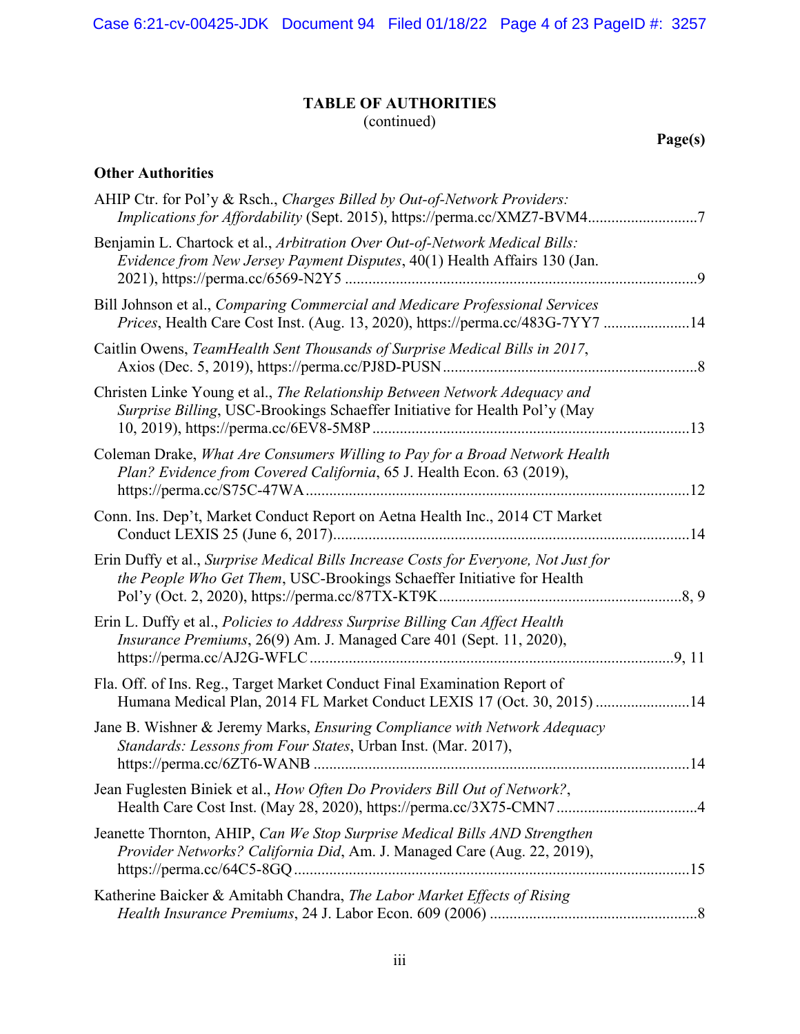# **TABLE OF AUTHORITIES**

(continued)

**Page(s)**

# **Other Authorities**

| AHIP Ctr. for Pol'y & Rsch., Charges Billed by Out-of-Network Providers:<br>Implications for Affordability (Sept. 2015), https://perma.cc/XMZ7-BVM47          |     |
|---------------------------------------------------------------------------------------------------------------------------------------------------------------|-----|
| Benjamin L. Chartock et al., Arbitration Over Out-of-Network Medical Bills:<br>Evidence from New Jersey Payment Disputes, 40(1) Health Affairs 130 (Jan.      |     |
| Bill Johnson et al., Comparing Commercial and Medicare Professional Services<br>Prices, Health Care Cost Inst. (Aug. 13, 2020), https://perma.cc/483G-7YY7 14 |     |
| Caitlin Owens, TeamHealth Sent Thousands of Surprise Medical Bills in 2017,                                                                                   | 8   |
| Christen Linke Young et al., The Relationship Between Network Adequacy and<br>Surprise Billing, USC-Brookings Schaeffer Initiative for Health Pol'y (May      | .13 |
| Coleman Drake, What Are Consumers Willing to Pay for a Broad Network Health<br>Plan? Evidence from Covered California, 65 J. Health Econ. 63 (2019),          | .12 |
| Conn. Ins. Dep't, Market Conduct Report on Aetna Health Inc., 2014 CT Market                                                                                  |     |
| Erin Duffy et al., Surprise Medical Bills Increase Costs for Everyone, Not Just for<br>the People Who Get Them, USC-Brookings Schaeffer Initiative for Health |     |
| Erin L. Duffy et al., Policies to Address Surprise Billing Can Affect Health<br>Insurance Premiums, 26(9) Am. J. Managed Care 401 (Sept. 11, 2020),           |     |
| Fla. Off. of Ins. Reg., Target Market Conduct Final Examination Report of<br>Humana Medical Plan, 2014 FL Market Conduct LEXIS 17 (Oct. 30, 2015) 14          |     |
| Jane B. Wishner & Jeremy Marks, Ensuring Compliance with Network Adequacy<br>Standards: Lessons from Four States, Urban Inst. (Mar. 2017),                    |     |
| Jean Fuglesten Biniek et al., How Often Do Providers Bill Out of Network?,                                                                                    |     |
| Jeanette Thornton, AHIP, Can We Stop Surprise Medical Bills AND Strengthen<br>Provider Networks? California Did, Am. J. Managed Care (Aug. 22, 2019),         |     |
| Katherine Baicker & Amitabh Chandra, The Labor Market Effects of Rising                                                                                       |     |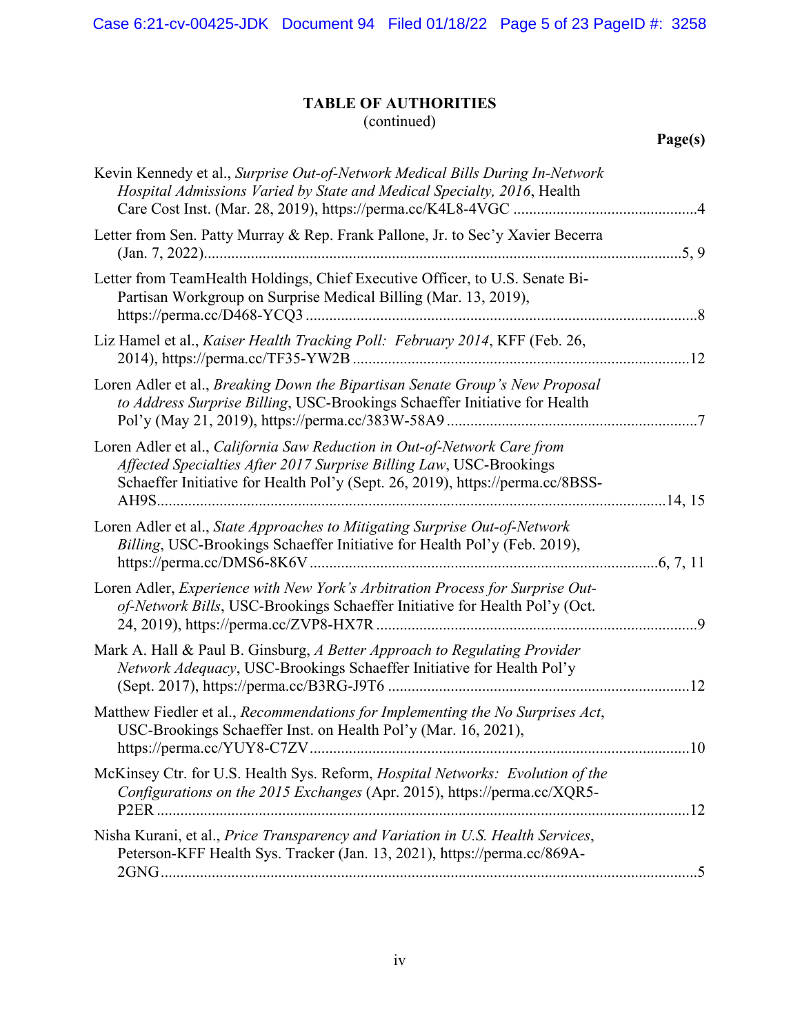Case 6:21-cv-00425-JDK Document 94 Filed 01/18/22 Page 5 of 23 PageID #: 3258

# **TABLE OF AUTHORITIES**

(continued)

| Kevin Kennedy et al., Surprise Out-of-Network Medical Bills During In-Network<br>Hospital Admissions Varied by State and Medical Specialty, 2016, Health                                                                          |           |
|-----------------------------------------------------------------------------------------------------------------------------------------------------------------------------------------------------------------------------------|-----------|
| Letter from Sen. Patty Murray & Rep. Frank Pallone, Jr. to Sec'y Xavier Becerra                                                                                                                                                   |           |
| Letter from TeamHealth Holdings, Chief Executive Officer, to U.S. Senate Bi-<br>Partisan Workgroup on Surprise Medical Billing (Mar. 13, 2019),                                                                                   |           |
| Liz Hamel et al., Kaiser Health Tracking Poll: February 2014, KFF (Feb. 26,                                                                                                                                                       |           |
| Loren Adler et al., Breaking Down the Bipartisan Senate Group's New Proposal<br>to Address Surprise Billing, USC-Brookings Schaeffer Initiative for Health                                                                        |           |
| Loren Adler et al., California Saw Reduction in Out-of-Network Care from<br>Affected Specialties After 2017 Surprise Billing Law, USC-Brookings<br>Schaeffer Initiative for Health Pol'y (Sept. 26, 2019), https://perma.cc/8BSS- |           |
| Loren Adler et al., State Approaches to Mitigating Surprise Out-of-Network<br>Billing, USC-Brookings Schaeffer Initiative for Health Pol'y (Feb. 2019),                                                                           |           |
| Loren Adler, Experience with New York's Arbitration Process for Surprise Out-<br>of-Network Bills, USC-Brookings Schaeffer Initiative for Health Pol'y (Oct.                                                                      | $\cdot$ 9 |
| Mark A. Hall & Paul B. Ginsburg, A Better Approach to Regulating Provider<br>Network Adequacy, USC-Brookings Schaeffer Initiative for Health Pol'y                                                                                |           |
| Matthew Fiedler et al., Recommendations for Implementing the No Surprises Act,<br>USC-Brookings Schaeffer Inst. on Health Pol'y (Mar. 16, 2021),                                                                                  |           |
| McKinsey Ctr. for U.S. Health Sys. Reform, Hospital Networks: Evolution of the<br>Configurations on the 2015 Exchanges (Apr. 2015), https://perma.cc/XQR5-                                                                        |           |
| Nisha Kurani, et al., Price Transparency and Variation in U.S. Health Services,<br>Peterson-KFF Health Sys. Tracker (Jan. 13, 2021), https://perma.cc/869A-                                                                       |           |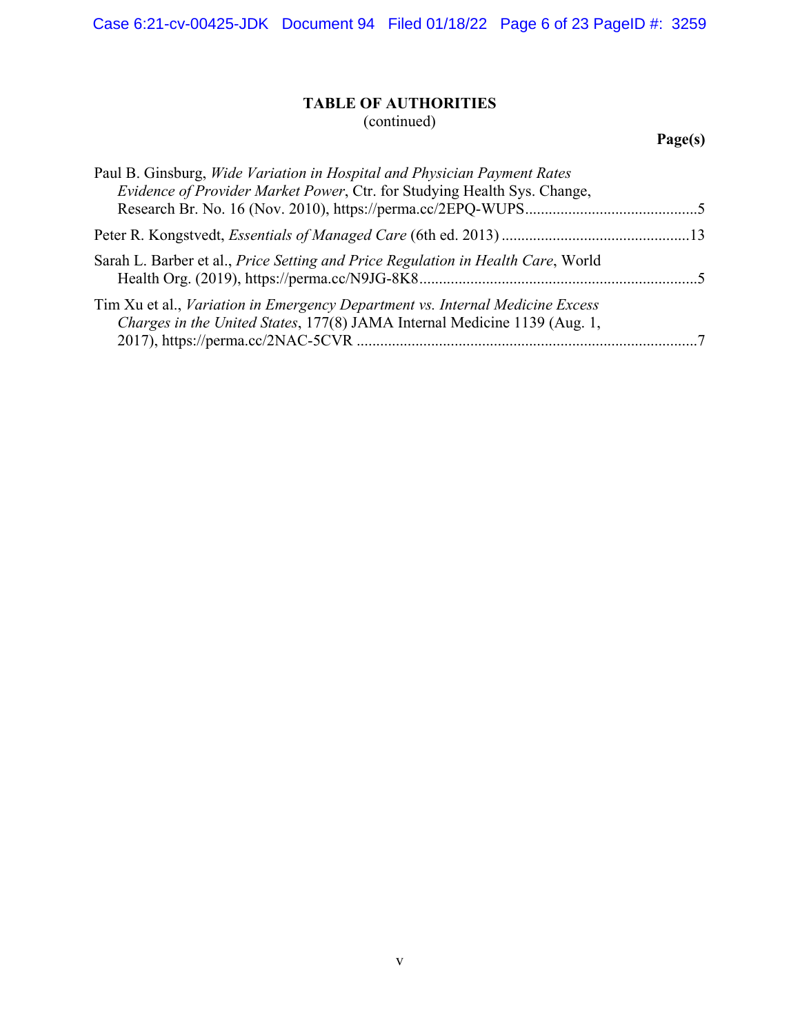Case 6:21-cv-00425-JDK Document 94 Filed 01/18/22 Page 6 of 23 PageID #: 3259

# **TABLE OF AUTHORITIES** (continued)

# **Page(s)**

| Paul B. Ginsburg, Wide Variation in Hospital and Physician Payment Rates<br>Evidence of Provider Market Power, Ctr. for Studying Health Sys. Change,       |  |
|------------------------------------------------------------------------------------------------------------------------------------------------------------|--|
|                                                                                                                                                            |  |
| Sarah L. Barber et al., Price Setting and Price Regulation in Health Care, World                                                                           |  |
| Tim Xu et al., Variation in Emergency Department vs. Internal Medicine Excess<br>Charges in the United States, 177(8) JAMA Internal Medicine 1139 (Aug. 1, |  |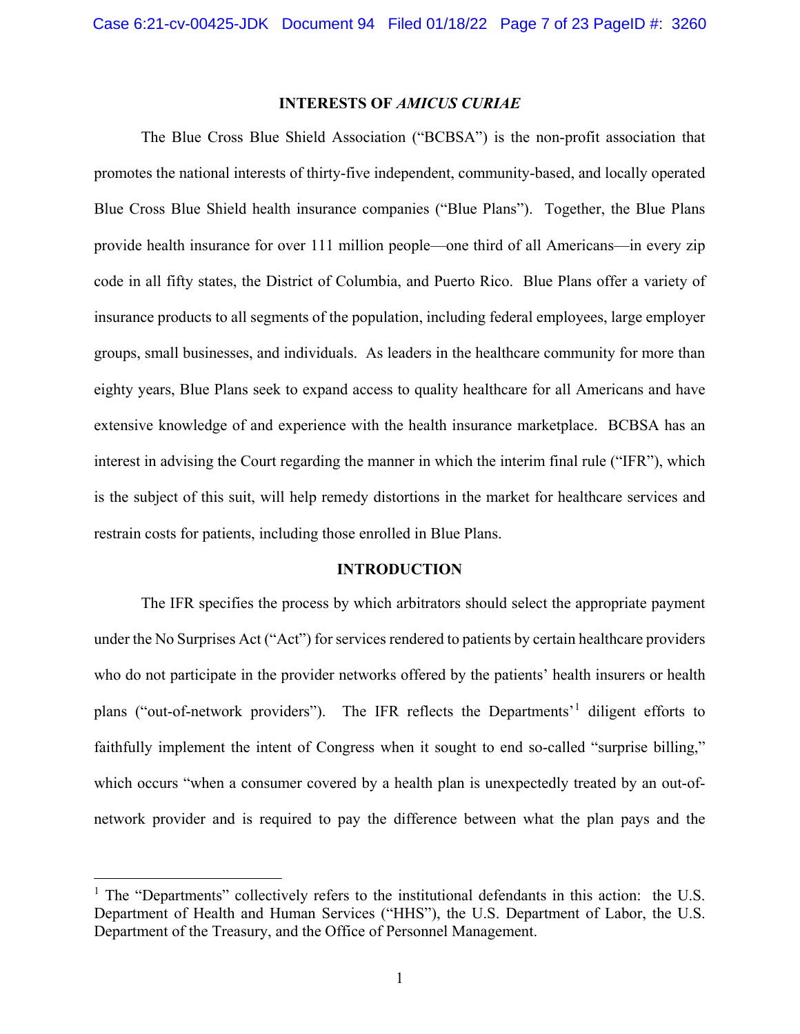#### **INTERESTS OF** *AMICUS CURIAE*

<span id="page-6-0"></span>The Blue Cross Blue Shield Association ("BCBSA") is the non-profit association that promotes the national interests of thirty-five independent, community-based, and locally operated Blue Cross Blue Shield health insurance companies ("Blue Plans"). Together, the Blue Plans provide health insurance for over 111 million people—one third of all Americans—in every zip code in all fifty states, the District of Columbia, and Puerto Rico. Blue Plans offer a variety of insurance products to all segments of the population, including federal employees, large employer groups, small businesses, and individuals. As leaders in the healthcare community for more than eighty years, Blue Plans seek to expand access to quality healthcare for all Americans and have extensive knowledge of and experience with the health insurance marketplace. BCBSA has an interest in advising the Court regarding the manner in which the interim final rule ("IFR"), which is the subject of this suit, will help remedy distortions in the market for healthcare services and restrain costs for patients, including those enrolled in Blue Plans.

#### **INTRODUCTION**

<span id="page-6-1"></span>The IFR specifies the process by which arbitrators should select the appropriate payment under the No Surprises Act ("Act") for services rendered to patients by certain healthcare providers who do not participate in the provider networks offered by the patients' health insurers or health plans ("out-of-network providers"). The IFR reflects the Departments'[1](#page-6-2) diligent efforts to faithfully implement the intent of Congress when it sought to end so-called "surprise billing," which occurs "when a consumer covered by a health plan is unexpectedly treated by an out-ofnetwork provider and is required to pay the difference between what the plan pays and the

<span id="page-6-2"></span><sup>&</sup>lt;sup>1</sup> The "Departments" collectively refers to the institutional defendants in this action: the U.S. Department of Health and Human Services ("HHS"), the U.S. Department of Labor, the U.S. Department of the Treasury, and the Office of Personnel Management.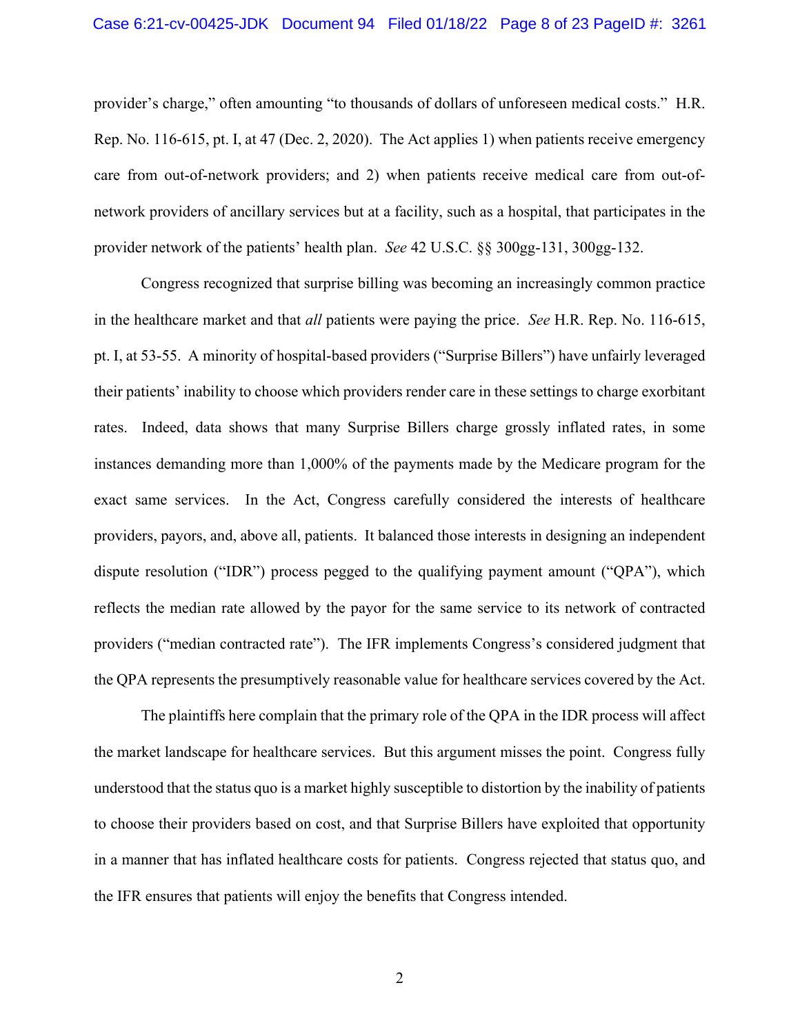<span id="page-7-1"></span>provider's charge," often amounting "to thousands of dollars of unforeseen medical costs." H.R. Rep. No. 116-615, pt. I, at 47 (Dec. 2, 2020). The Act applies 1) when patients receive emergency care from out-of-network providers; and 2) when patients receive medical care from out-ofnetwork providers of ancillary services but at a facility, such as a hospital, that participates in the provider network of the patients' health plan. *See* 42 U.S.C. §§ 300gg-131, 300gg-132.

<span id="page-7-0"></span>Congress recognized that surprise billing was becoming an increasingly common practice in the healthcare market and that *all* patients were paying the price. *See* H.R. Rep. No. 116-615, pt. I, at 53-55. A minority of hospital-based providers ("Surprise Billers") have unfairly leveraged their patients' inability to choose which providers render care in these settings to charge exorbitant rates. Indeed, data shows that many Surprise Billers charge grossly inflated rates, in some instances demanding more than 1,000% of the payments made by the Medicare program for the exact same services. In the Act, Congress carefully considered the interests of healthcare providers, payors, and, above all, patients. It balanced those interests in designing an independent dispute resolution ("IDR") process pegged to the qualifying payment amount ("QPA"), which reflects the median rate allowed by the payor for the same service to its network of contracted providers ("median contracted rate"). The IFR implements Congress's considered judgment that the QPA represents the presumptively reasonable value for healthcare services covered by the Act.

The plaintiffs here complain that the primary role of the QPA in the IDR process will affect the market landscape for healthcare services. But this argument misses the point. Congress fully understood that the status quo is a market highly susceptible to distortion by the inability of patients to choose their providers based on cost, and that Surprise Billers have exploited that opportunity in a manner that has inflated healthcare costs for patients. Congress rejected that status quo, and the IFR ensures that patients will enjoy the benefits that Congress intended.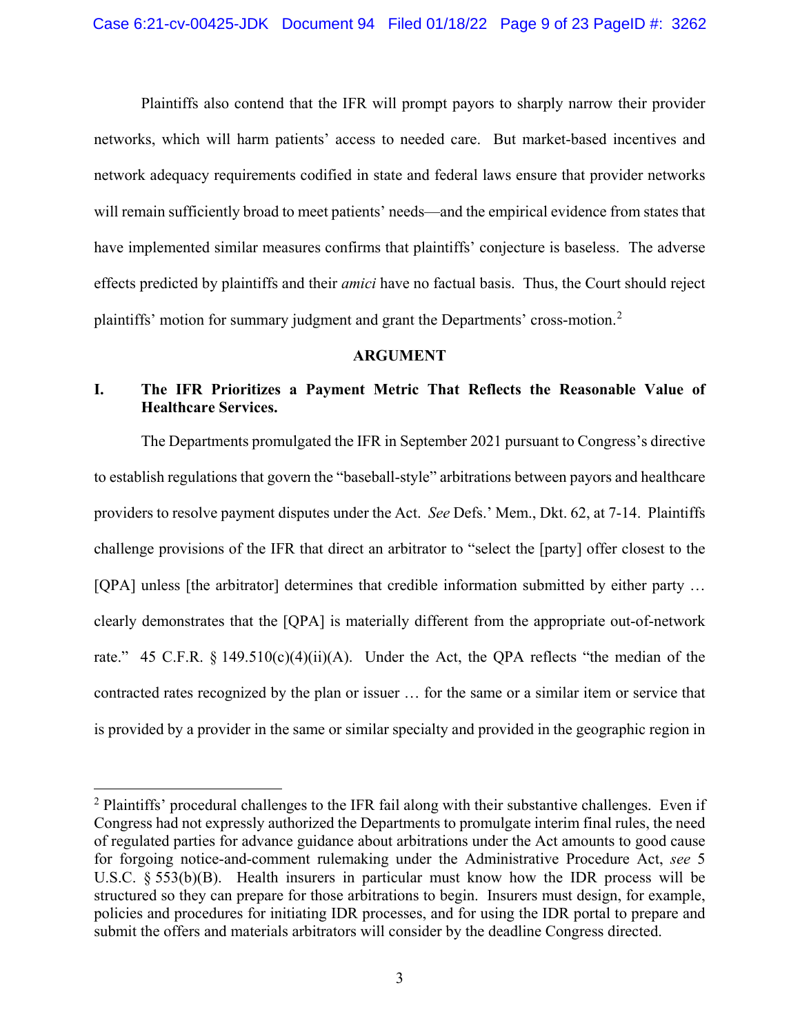Plaintiffs also contend that the IFR will prompt payors to sharply narrow their provider networks, which will harm patients' access to needed care. But market-based incentives and network adequacy requirements codified in state and federal laws ensure that provider networks will remain sufficiently broad to meet patients' needs—and the empirical evidence from states that have implemented similar measures confirms that plaintiffs' conjecture is baseless. The adverse effects predicted by plaintiffs and their *amici* have no factual basis. Thus, the Court should reject plaintiffs' motion for summary judgment and grant the Departments' cross-motion.[2](#page-8-4)

#### <span id="page-8-2"></span>**ARGUMENT**

# <span id="page-8-1"></span><span id="page-8-0"></span>**I. The IFR Prioritizes a Payment Metric That Reflects the Reasonable Value of Healthcare Services.**

The Departments promulgated the IFR in September 2021 pursuant to Congress's directive to establish regulations that govern the "baseball-style" arbitrations between payors and healthcare providers to resolve payment disputes under the Act. *See* Defs.' Mem., Dkt. 62, at 7-14. Plaintiffs challenge provisions of the IFR that direct an arbitrator to "select the [party] offer closest to the [QPA] unless [the arbitrator] determines that credible information submitted by either party ... clearly demonstrates that the [QPA] is materially different from the appropriate out-of-network rate." 45 C.F.R. § 149.510(c)(4)(ii)(A). Under the Act, the QPA reflects "the median of the contracted rates recognized by the plan or issuer … for the same or a similar item or service that is provided by a provider in the same or similar specialty and provided in the geographic region in

<span id="page-8-4"></span><span id="page-8-3"></span> $2$  Plaintiffs' procedural challenges to the IFR fail along with their substantive challenges. Even if Congress had not expressly authorized the Departments to promulgate interim final rules, the need of regulated parties for advance guidance about arbitrations under the Act amounts to good cause for forgoing notice-and-comment rulemaking under the Administrative Procedure Act, *see* 5 U.S.C.  $\S$  553(b)(B). Health insurers in particular must know how the IDR process will be structured so they can prepare for those arbitrations to begin. Insurers must design, for example, policies and procedures for initiating IDR processes, and for using the IDR portal to prepare and submit the offers and materials arbitrators will consider by the deadline Congress directed.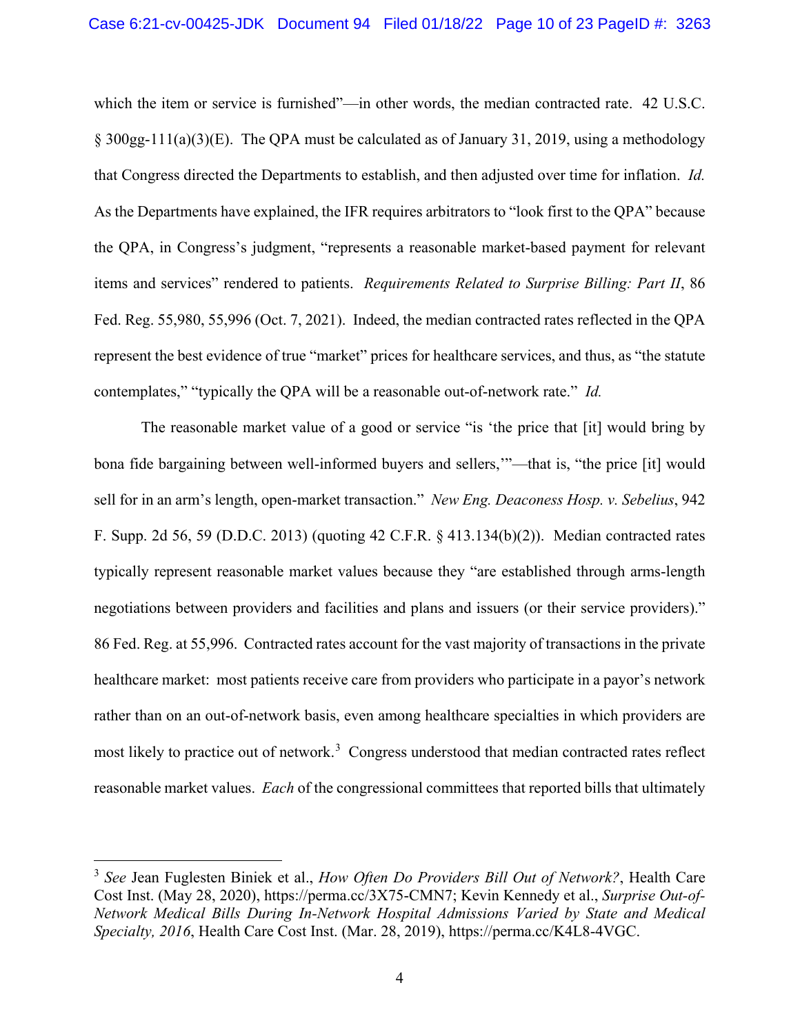<span id="page-9-1"></span>which the item or service is furnished"—in other words, the median contracted rate. 42 U.S.C. § 300gg-111(a)(3)(E). The QPA must be calculated as of January 31, 2019, using a methodology that Congress directed the Departments to establish, and then adjusted over time for inflation. *Id.* As the Departments have explained, the IFR requires arbitrators to "look first to the QPA" because the QPA, in Congress's judgment, "represents a reasonable market-based payment for relevant items and services" rendered to patients. *Requirements Related to Surprise Billing: Part II*, 86 Fed. Reg. 55,980, 55,996 (Oct. 7, 2021). Indeed, the median contracted rates reflected in the QPA represent the best evidence of true "market" prices for healthcare services, and thus, as "the statute contemplates," "typically the QPA will be a reasonable out-of-network rate." *Id.*

<span id="page-9-3"></span><span id="page-9-2"></span><span id="page-9-0"></span>The reasonable market value of a good or service "is 'the price that [it] would bring by bona fide bargaining between well-informed buyers and sellers,'"—that is, "the price [it] would sell for in an arm's length, open-market transaction." *New Eng. Deaconess Hosp. v. Sebelius*, 942 F. Supp. 2d 56, 59 (D.D.C. 2013) (quoting 42 C.F.R. § 413.134(b)(2)). Median contracted rates typically represent reasonable market values because they "are established through arms-length negotiations between providers and facilities and plans and issuers (or their service providers)." 86 Fed. Reg. at 55,996. Contracted rates account for the vast majority of transactions in the private healthcare market: most patients receive care from providers who participate in a payor's network rather than on an out-of-network basis, even among healthcare specialties in which providers are most likely to practice out of network.<sup>[3](#page-9-6)</sup> Congress understood that median contracted rates reflect reasonable market values. *Each* of the congressional committees that reported bills that ultimately

<span id="page-9-6"></span><span id="page-9-5"></span><span id="page-9-4"></span> <sup>3</sup> *See* Jean Fuglesten Biniek et al., *How Often Do Providers Bill Out of Network?*, Health Care Cost Inst. (May 28, 2020), https://perma.cc/3X75-CMN7; Kevin Kennedy et al., *Surprise Out-of-Network Medical Bills During In-Network Hospital Admissions Varied by State and Medical Specialty, 2016*, Health Care Cost Inst. (Mar. 28, 2019), https://perma.cc/K4L8-4VGC.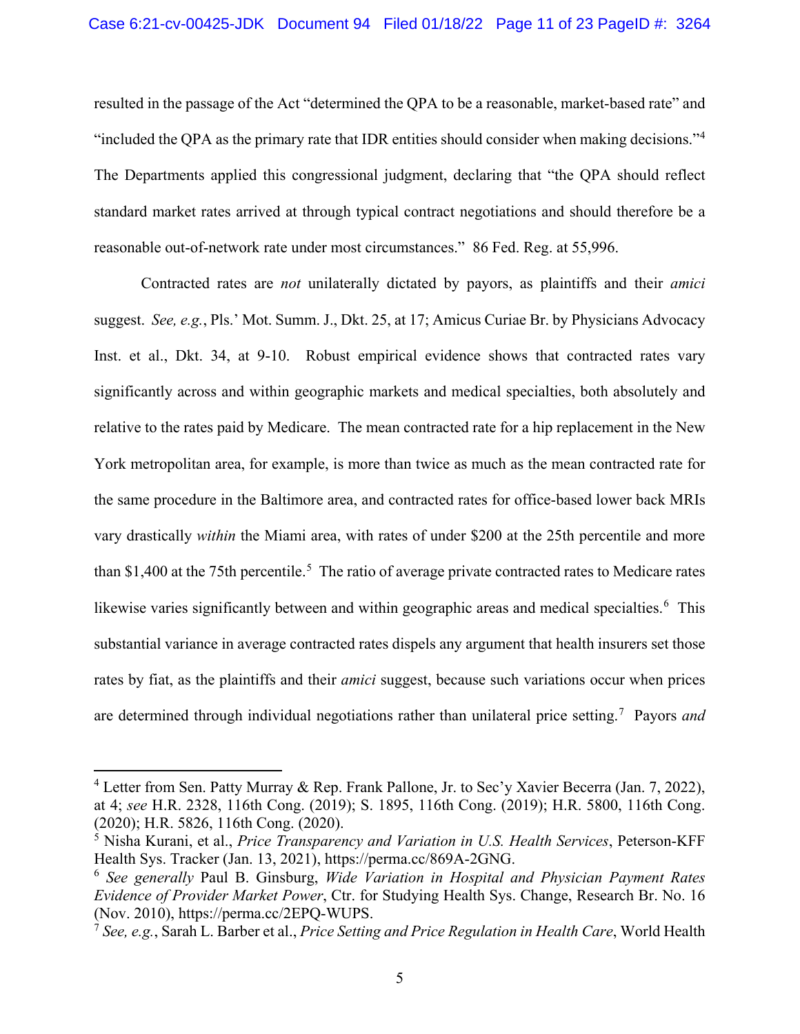<span id="page-10-13"></span>resulted in the passage of the Act "determined the QPA to be a reasonable, market-based rate" and "included the QPA as the primary rate that IDR entities should consider when making decisions."<sup>[4](#page-10-9)</sup> The Departments applied this congressional judgment, declaring that "the QPA should reflect standard market rates arrived at through typical contract negotiations and should therefore be a reasonable out-of-network rate under most circumstances." 86 Fed. Reg. at 55,996.

<span id="page-10-0"></span>Contracted rates are *not* unilaterally dictated by payors, as plaintiffs and their *amici* suggest. *See, e.g.*, Pls.' Mot. Summ. J., Dkt. 25, at 17; Amicus Curiae Br. by Physicians Advocacy Inst. et al., Dkt. 34, at 9-10. Robust empirical evidence shows that contracted rates vary significantly across and within geographic markets and medical specialties, both absolutely and relative to the rates paid by Medicare. The mean contracted rate for a hip replacement in the New York metropolitan area, for example, is more than twice as much as the mean contracted rate for the same procedure in the Baltimore area, and contracted rates for office-based lower back MRIs vary drastically *within* the Miami area, with rates of under \$200 at the 25th percentile and more than \$1,400 at the 7[5](#page-10-10)th percentile.<sup>5</sup> The ratio of average private contracted rates to Medicare rates likewise varies significantly between and within geographic areas and medical specialties.<sup>[6](#page-10-11)</sup> This substantial variance in average contracted rates dispels any argument that health insurers set those rates by fiat, as the plaintiffs and their *amici* suggest, because such variations occur when prices are determined through individual negotiations rather than unilateral price setting.[7](#page-10-12) Payors *and* 

<span id="page-10-9"></span><span id="page-10-5"></span><span id="page-10-4"></span><span id="page-10-2"></span><span id="page-10-1"></span> <sup>4</sup> Letter from Sen. Patty Murray & Rep. Frank Pallone, Jr. to Sec'y Xavier Becerra (Jan. 7, 2022), at 4; *see* H.R. 2328, 116th Cong. (2019); S. 1895, 116th Cong. (2019); H.R. 5800, 116th Cong. (2020); H.R. 5826, 116th Cong. (2020).

<span id="page-10-10"></span><span id="page-10-6"></span><span id="page-10-3"></span><sup>5</sup> Nisha Kurani, et al., *Price Transparency and Variation in U.S. Health Services*, Peterson-KFF Health Sys. Tracker (Jan. 13, 2021), https://perma.cc/869A-2GNG.

<span id="page-10-11"></span><span id="page-10-7"></span><sup>6</sup> *See generally* Paul B. Ginsburg, *Wide Variation in Hospital and Physician Payment Rates Evidence of Provider Market Power*, Ctr. for Studying Health Sys. Change, Research Br. No. 16 (Nov. 2010), https://perma.cc/2EPQ-WUPS.

<span id="page-10-12"></span><span id="page-10-8"></span><sup>7</sup> *See, e.g.*, Sarah L. Barber et al., *Price Setting and Price Regulation in Health Care*, World Health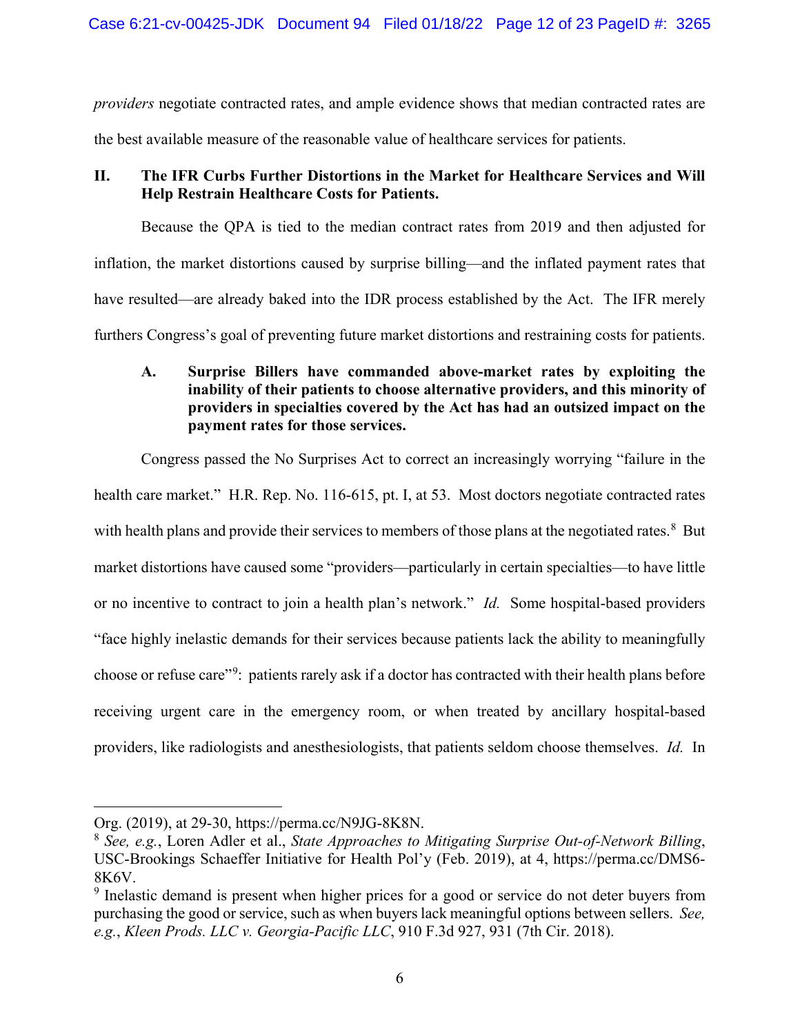*providers* negotiate contracted rates, and ample evidence shows that median contracted rates are the best available measure of the reasonable value of healthcare services for patients.

# <span id="page-11-0"></span>**II. The IFR Curbs Further Distortions in the Market for Healthcare Services and Will Help Restrain Healthcare Costs for Patients.**

Because the QPA is tied to the median contract rates from 2019 and then adjusted for inflation, the market distortions caused by surprise billing—and the inflated payment rates that have resulted—are already baked into the IDR process established by the Act. The IFR merely furthers Congress's goal of preventing future market distortions and restraining costs for patients.

# <span id="page-11-6"></span><span id="page-11-1"></span>**A. Surprise Billers have commanded above-market rates by exploiting the inability of their patients to choose alternative providers, and this minority of providers in specialties covered by the Act has had an outsized impact on the payment rates for those services.**

Congress passed the No Surprises Act to correct an increasingly worrying "failure in the health care market." H.R. Rep. No. 116-615, pt. I, at 53. Most doctors negotiate contracted rates with health plans and provide their services to members of those plans at the negotiated rates.<sup>[8](#page-11-4)</sup> But market distortions have caused some "providers—particularly in certain specialties—to have little or no incentive to contract to join a health plan's network." *Id.* Some hospital-based providers "face highly inelastic demands for their services because patients lack the ability to meaningfully choose or refuse care"<sup>[9](#page-11-5)</sup>: patients rarely ask if a doctor has contracted with their health plans before receiving urgent care in the emergency room, or when treated by ancillary hospital-based providers, like radiologists and anesthesiologists, that patients seldom choose themselves. *Id.* In

 $\overline{a}$ 

Org. (2019), at 29-30, https://perma.cc/N9JG-8K8N.

<span id="page-11-4"></span><span id="page-11-3"></span><sup>8</sup> *See, e.g.*, Loren Adler et al., *State Approaches to Mitigating Surprise Out-of-Network Billing*, USC-Brookings Schaeffer Initiative for Health Pol'y (Feb. 2019), at 4, https://perma.cc/DMS6- 8K6V.

<span id="page-11-5"></span><span id="page-11-2"></span><sup>&</sup>lt;sup>9</sup> Inelastic demand is present when higher prices for a good or service do not deter buyers from purchasing the good or service, such as when buyers lack meaningful options between sellers. *See, e.g.*, *Kleen Prods. LLC v. Georgia-Pacific LLC*, 910 F.3d 927, 931 (7th Cir. 2018).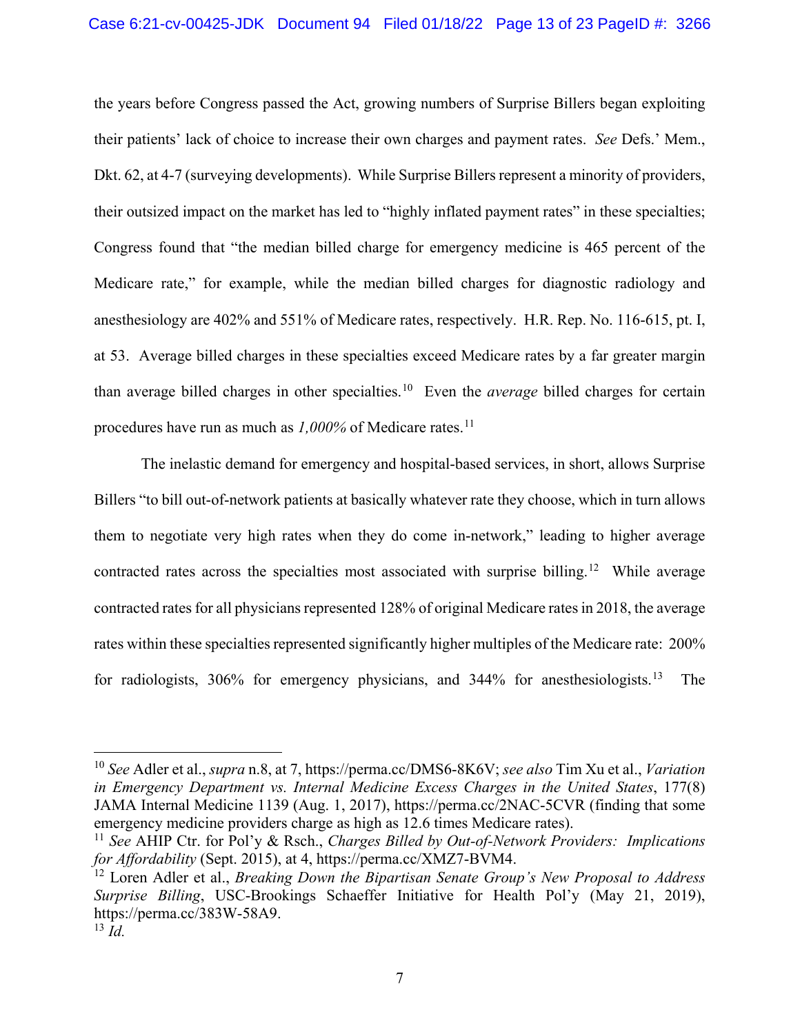the years before Congress passed the Act, growing numbers of Surprise Billers began exploiting their patients' lack of choice to increase their own charges and payment rates. *See* Defs.' Mem., Dkt. 62, at 4-7 (surveying developments). While Surprise Billers represent a minority of providers, their outsized impact on the market has led to "highly inflated payment rates" in these specialties; Congress found that "the median billed charge for emergency medicine is 465 percent of the Medicare rate," for example, while the median billed charges for diagnostic radiology and anesthesiology are 402% and 551% of Medicare rates, respectively. H.R. Rep. No. 116-615, pt. I, at 53. Average billed charges in these specialties exceed Medicare rates by a far greater margin than average billed charges in other specialties.[10](#page-12-4) Even the *average* billed charges for certain procedures have run as much as *1,000%* of Medicare rates.<sup>[11](#page-12-5)</sup>

The inelastic demand for emergency and hospital-based services, in short, allows Surprise Billers "to bill out-of-network patients at basically whatever rate they choose, which in turn allows them to negotiate very high rates when they do come in-network," leading to higher average contracted rates across the specialties most associated with surprise billing.<sup>12</sup> While average contracted rates for all physicians represented 128% of original Medicare rates in 2018, the average rates within these specialties represented significantly higher multiples of the Medicare rate: 200% for radiologists, 306% for emergency physicians, and 344% for anesthesiologists.<sup>13</sup> The

<span id="page-12-4"></span><span id="page-12-3"></span><span id="page-12-2"></span> <sup>10</sup> *See* Adler et al., *supra* n[.8,](#page-11-6) at 7, https://perma.cc/DMS6-8K6V; *see also* Tim Xu et al., *Variation in Emergency Department vs. Internal Medicine Excess Charges in the United States*, 177(8) JAMA Internal Medicine 1139 (Aug. 1, 2017), https://perma.cc/2NAC-5CVR (finding that some emergency medicine providers charge as high as 12.6 times Medicare rates).

<span id="page-12-5"></span><span id="page-12-0"></span><sup>11</sup> *See* AHIP Ctr. for Pol'y & Rsch., *Charges Billed by Out-of-Network Providers: Implications for Affordability* (Sept. 2015), at 4, https://perma.cc/XMZ7-BVM4.

<span id="page-12-6"></span><span id="page-12-1"></span><sup>12</sup> Loren Adler et al., *Breaking Down the Bipartisan Senate Group's New Proposal to Address Surprise Billing*, USC-Brookings Schaeffer Initiative for Health Pol'y (May 21, 2019), https://perma.cc/383W-58A9.

<span id="page-12-7"></span> $^{13}$   $\overline{Id}$ .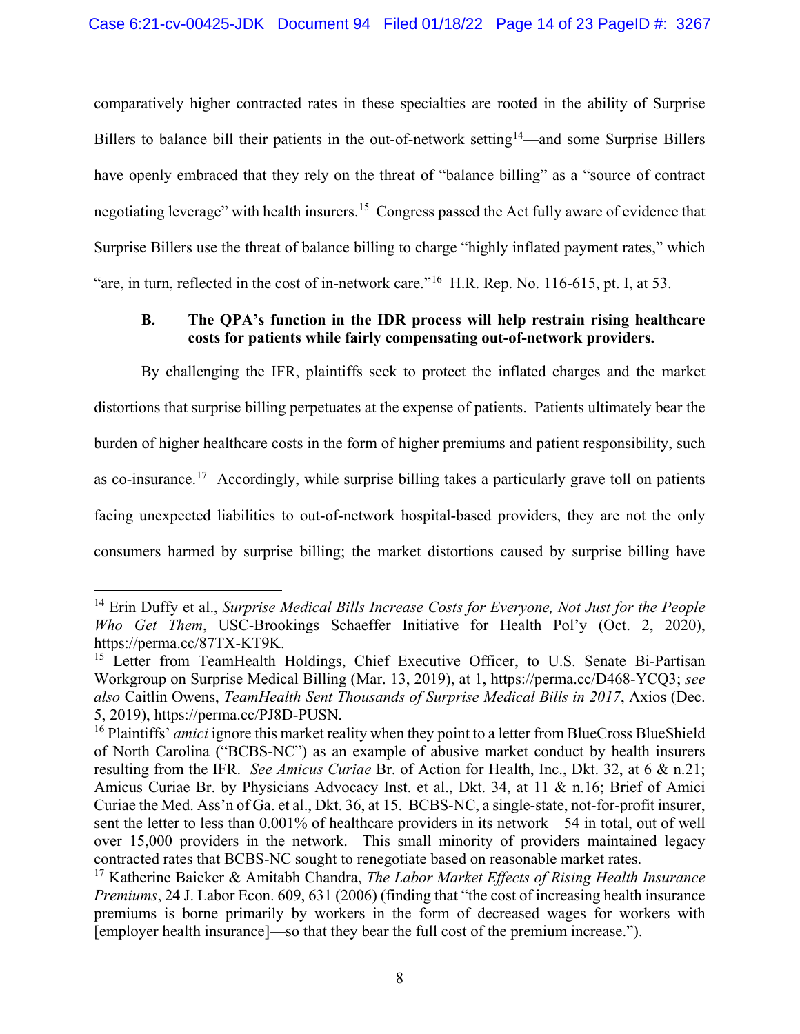<span id="page-13-9"></span>comparatively higher contracted rates in these specialties are rooted in the ability of Surprise Billers to balance bill their patients in the out-of-network setting<sup>14</sup>—and some Surprise Billers have openly embraced that they rely on the threat of "balance billing" as a "source of contract negotiating leverage" with health insurers.[15](#page-13-6) Congress passed the Act fully aware of evidence that Surprise Billers use the threat of balance billing to charge "highly inflated payment rates," which "are, in turn, reflected in the cost of in-network care."<sup>[16](#page-13-7)</sup> H.R. Rep. No. 116-615, pt. I, at 53.

## <span id="page-13-0"></span>**B. The QPA's function in the IDR process will help restrain rising healthcare costs for patients while fairly compensating out-of-network providers.**

By challenging the IFR, plaintiffs seek to protect the inflated charges and the market distortions that surprise billing perpetuates at the expense of patients. Patients ultimately bear the burden of higher healthcare costs in the form of higher premiums and patient responsibility, such as co-insurance.<sup>17</sup> Accordingly, while surprise billing takes a particularly grave toll on patients facing unexpected liabilities to out-of-network hospital-based providers, they are not the only consumers harmed by surprise billing; the market distortions caused by surprise billing have

<span id="page-13-5"></span><span id="page-13-2"></span> <sup>14</sup> Erin Duffy et al., *Surprise Medical Bills Increase Costs for Everyone, Not Just for the People Who Get Them*, USC-Brookings Schaeffer Initiative for Health Pol'y (Oct. 2, 2020), https://perma.cc/87TX-KT9K.

<span id="page-13-6"></span><span id="page-13-4"></span><span id="page-13-1"></span><sup>&</sup>lt;sup>15</sup> Letter from TeamHealth Holdings, Chief Executive Officer, to U.S. Senate Bi-Partisan Workgroup on Surprise Medical Billing (Mar. 13, 2019), at 1, https://perma.cc/D468-YCQ3; *see also* Caitlin Owens, *TeamHealth Sent Thousands of Surprise Medical Bills in 2017*, Axios (Dec. 5, 2019), https://perma.cc/PJ8D-PUSN.

<span id="page-13-7"></span><sup>&</sup>lt;sup>16</sup> Plaintiffs' *amici* ignore this market reality when they point to a letter from BlueCross BlueShield of North Carolina ("BCBS-NC") as an example of abusive market conduct by health insurers resulting from the IFR. *See Amicus Curiae* Br. of Action for Health, Inc., Dkt. 32, at 6 & n.21; Amicus Curiae Br. by Physicians Advocacy Inst. et al., Dkt. 34, at 11 & n.16; Brief of Amici Curiae the Med. Ass'n of Ga. et al., Dkt. 36, at 15. BCBS-NC, a single-state, not-for-profit insurer, sent the letter to less than 0.001% of healthcare providers in its network—54 in total, out of well over 15,000 providers in the network. This small minority of providers maintained legacy contracted rates that BCBS-NC sought to renegotiate based on reasonable market rates.

<span id="page-13-8"></span><span id="page-13-3"></span><sup>17</sup> Katherine Baicker & Amitabh Chandra, *The Labor Market Effects of Rising Health Insurance Premiums*, 24 J. Labor Econ. 609, 631 (2006) (finding that "the cost of increasing health insurance premiums is borne primarily by workers in the form of decreased wages for workers with [employer health insurance]—so that they bear the full cost of the premium increase.").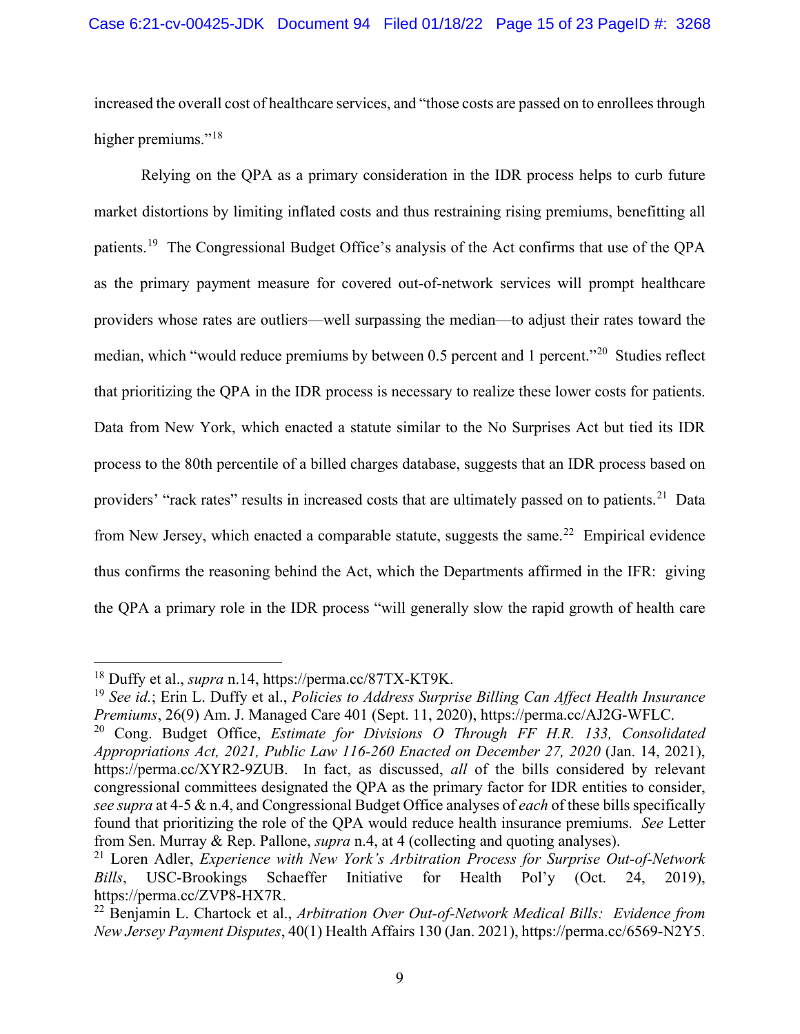increased the overall cost of healthcare services, and "those costs are passed on to enrollees through higher premiums."<sup>[18](#page-14-6)</sup>

<span id="page-14-11"></span>Relying on the QPA as a primary consideration in the IDR process helps to curb future market distortions by limiting inflated costs and thus restraining rising premiums, benefitting all patients.[19](#page-14-7) The Congressional Budget Office's analysis of the Act confirms that use of the QPA as the primary payment measure for covered out-of-network services will prompt healthcare providers whose rates are outliers—well surpassing the median—to adjust their rates toward the median, which "would reduce premiums by between 0.5 percent and 1 percent."[20](#page-14-8) Studies reflect that prioritizing the QPA in the IDR process is necessary to realize these lower costs for patients. Data from New York, which enacted a statute similar to the No Surprises Act but tied its IDR process to the 80th percentile of a billed charges database, suggests that an IDR process based on providers' "rack rates" results in increased costs that are ultimately passed on to patients.<sup>21</sup> Data from New Jersey, which enacted a comparable statute, suggests the same.<sup>22</sup> Empirical evidence thus confirms the reasoning behind the Act, which the Departments affirmed in the IFR: giving the QPA a primary role in the IDR process "will generally slow the rapid growth of health care

<span id="page-14-6"></span><span id="page-14-2"></span> <sup>18</sup> Duffy et al., *supra* n[.14,](#page-13-9) https://perma.cc/87TX-KT9K.

<span id="page-14-7"></span><span id="page-14-3"></span><sup>19</sup> *See id.*; Erin L. Duffy et al., *Policies to Address Surprise Billing Can Affect Health Insurance Premiums*, 26(9) Am. J. Managed Care 401 (Sept. 11, 2020), https://perma.cc/AJ2G-WFLC.

<span id="page-14-8"></span><span id="page-14-0"></span><sup>20</sup> Cong. Budget Office, *Estimate for Divisions O Through FF H.R. 133, Consolidated Appropriations Act, 2021, Public Law 116-260 Enacted on December 27, 2020* (Jan. 14, 2021), https://perma.cc/XYR2-9ZUB. In fact, as discussed, *all* of the bills considered by relevant congressional committees designated the QPA as the primary factor for IDR entities to consider, *see supra* at 4-5 & n.4, and Congressional Budget Office analyses of *each* of these bills specifically found that prioritizing the role of the QPA would reduce health insurance premiums. *See* Letter from Sen. Murray & Rep. Pallone, *supra* n[.4,](#page-10-13) at 4 (collecting and quoting analyses).

<span id="page-14-9"></span><span id="page-14-5"></span><span id="page-14-4"></span><sup>21</sup> Loren Adler, *Experience with New York's Arbitration Process for Surprise Out-of-Network Bills*, USC-Brookings Schaeffer Initiative for Health Pol'y (Oct. 24, 2019), https://perma.cc/ZVP8-HX7R.

<span id="page-14-10"></span><span id="page-14-1"></span><sup>22</sup> Benjamin L. Chartock et al., *Arbitration Over Out-of-Network Medical Bills: Evidence from New Jersey Payment Disputes*, 40(1) Health Affairs 130 (Jan. 2021), https://perma.cc/6569-N2Y5.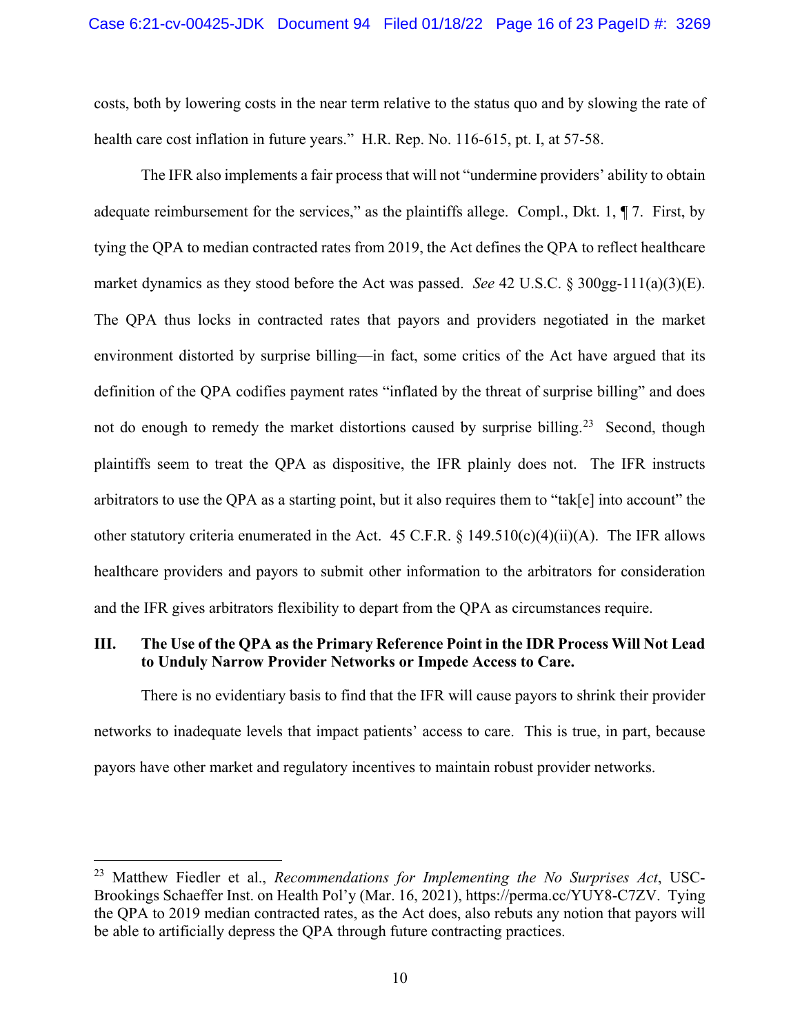costs, both by lowering costs in the near term relative to the status quo and by slowing the rate of health care cost inflation in future years." H.R. Rep. No. 116-615, pt. I, at 57-58.

<span id="page-15-1"></span>The IFR also implements a fair process that will not "undermine providers' ability to obtain adequate reimbursement for the services," as the plaintiffs allege. Compl., Dkt. 1, ¶ 7. First, by tying the QPA to median contracted rates from 2019, the Act defines the QPA to reflect healthcare market dynamics as they stood before the Act was passed. *See* 42 U.S.C. § 300gg-111(a)(3)(E). The QPA thus locks in contracted rates that payors and providers negotiated in the market environment distorted by surprise billing—in fact, some critics of the Act have argued that its definition of the QPA codifies payment rates "inflated by the threat of surprise billing" and does not do enough to remedy the market distortions caused by surprise billing.<sup>23</sup> Second, though plaintiffs seem to treat the QPA as dispositive, the IFR plainly does not. The IFR instructs arbitrators to use the QPA as a starting point, but it also requires them to "tak[e] into account" the other statutory criteria enumerated in the Act. 45 C.F.R.  $\S$  149.510(c)(4)(ii)(A). The IFR allows healthcare providers and payors to submit other information to the arbitrators for consideration and the IFR gives arbitrators flexibility to depart from the QPA as circumstances require.

#### <span id="page-15-2"></span><span id="page-15-0"></span>**III. The Use of the QPA as the Primary Reference Point in the IDR Process Will Not Lead to Unduly Narrow Provider Networks or Impede Access to Care.**

There is no evidentiary basis to find that the IFR will cause payors to shrink their provider networks to inadequate levels that impact patients' access to care. This is true, in part, because payors have other market and regulatory incentives to maintain robust provider networks.

<span id="page-15-4"></span><span id="page-15-3"></span> <sup>23</sup> Matthew Fiedler et al., *Recommendations for Implementing the No Surprises Act*, USC-Brookings Schaeffer Inst. on Health Pol'y (Mar. 16, 2021), https://perma.cc/YUY8-C7ZV. Tying the QPA to 2019 median contracted rates, as the Act does, also rebuts any notion that payors will be able to artificially depress the QPA through future contracting practices.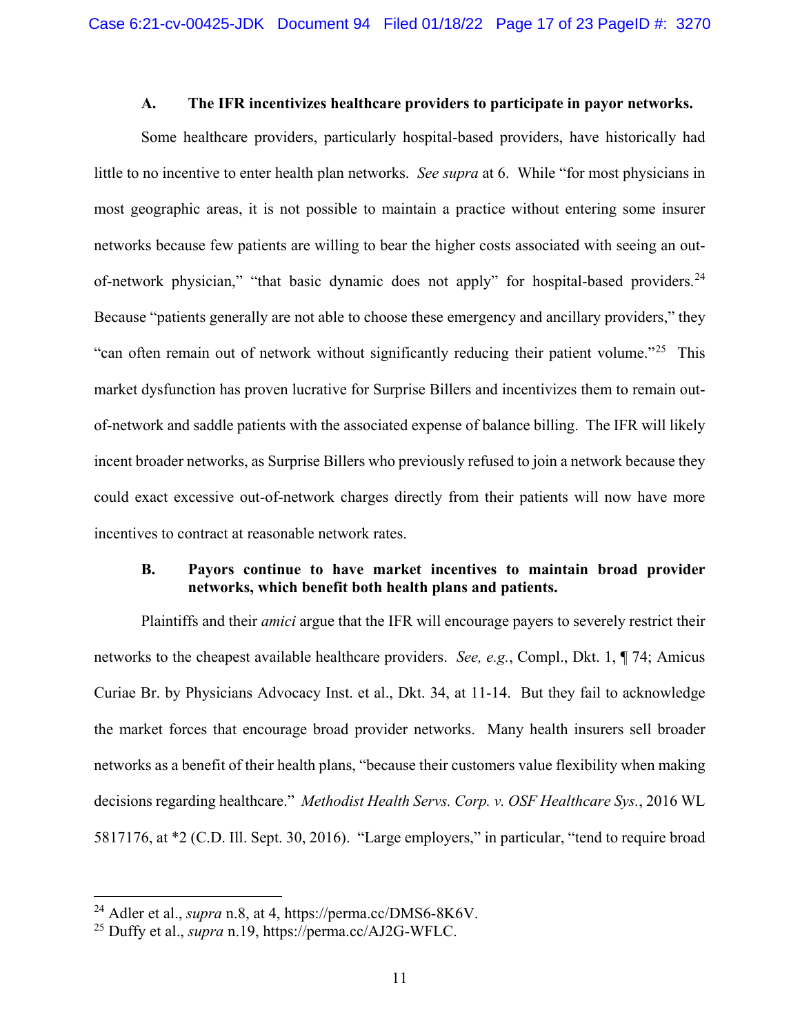#### **A. The IFR incentivizes healthcare providers to participate in payor networks.**

<span id="page-16-0"></span>Some healthcare providers, particularly hospital-based providers, have historically had little to no incentive to enter health plan networks. *See supra* at 6. While "for most physicians in most geographic areas, it is not possible to maintain a practice without entering some insurer networks because few patients are willing to bear the higher costs associated with seeing an out-of-network physician," "that basic dynamic does not apply" for hospital-based providers.<sup>[24](#page-16-5)</sup> Because "patients generally are not able to choose these emergency and ancillary providers," they "can often remain out of network without significantly reducing their patient volume."[25](#page-16-6) This market dysfunction has proven lucrative for Surprise Billers and incentivizes them to remain outof-network and saddle patients with the associated expense of balance billing. The IFR will likely incent broader networks, as Surprise Billers who previously refused to join a network because they could exact excessive out-of-network charges directly from their patients will now have more incentives to contract at reasonable network rates.

## <span id="page-16-1"></span>**B. Payors continue to have market incentives to maintain broad provider networks, which benefit both health plans and patients.**

Plaintiffs and their *amici* argue that the IFR will encourage payers to severely restrict their networks to the cheapest available healthcare providers. *See, e.g.*, Compl., Dkt. 1, ¶ 74; Amicus Curiae Br. by Physicians Advocacy Inst. et al., Dkt. 34, at 11-14. But they fail to acknowledge the market forces that encourage broad provider networks. Many health insurers sell broader networks as a benefit of their health plans, "because their customers value flexibility when making decisions regarding healthcare." *Methodist Health Servs. Corp. v. OSF Healthcare Sys.*, 2016 WL 5817176, at \*2 (C.D. Ill. Sept. 30, 2016). "Large employers," in particular, "tend to require broad

<span id="page-16-5"></span><span id="page-16-4"></span><span id="page-16-2"></span> <sup>24</sup> Adler et al., *supra* n[.8,](#page-11-6) at 4, https://perma.cc/DMS6-8K6V.

<span id="page-16-6"></span><span id="page-16-3"></span><sup>25</sup> Duffy et al., *supra* n[.19,](#page-14-11) https://perma.cc/AJ2G-WFLC.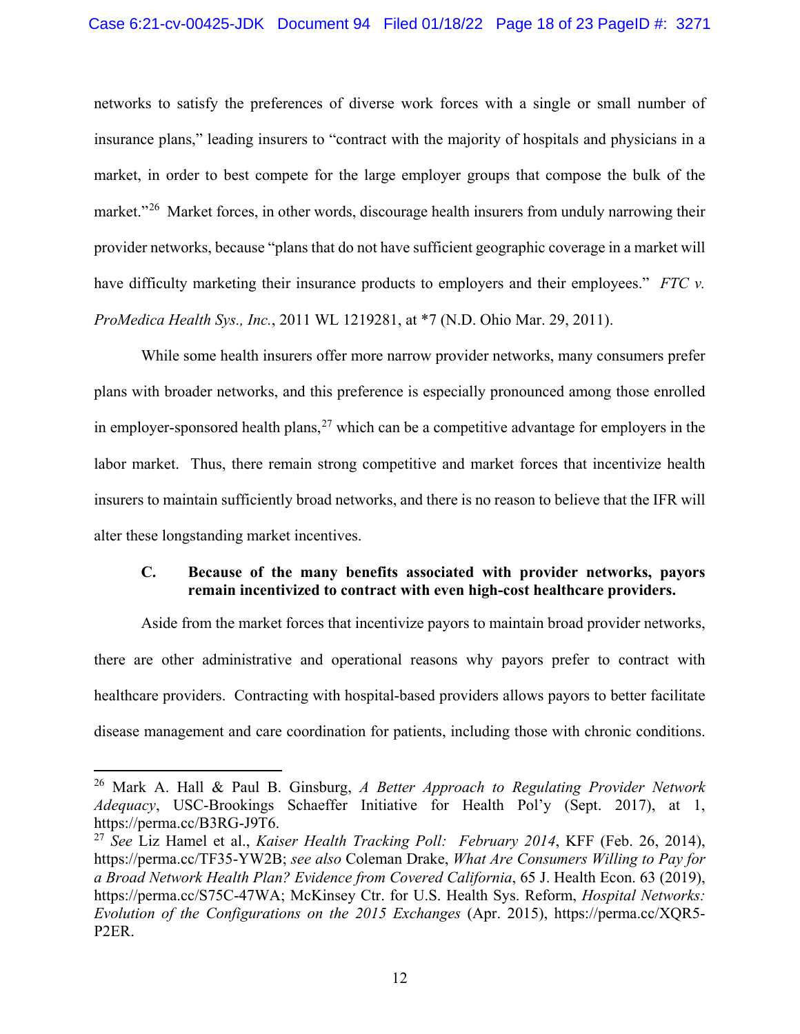#### Case 6:21-cv-00425-JDK Document 94 Filed 01/18/22 Page 18 of 23 PageID #: 3271

networks to satisfy the preferences of diverse work forces with a single or small number of insurance plans," leading insurers to "contract with the majority of hospitals and physicians in a market, in order to best compete for the large employer groups that compose the bulk of the market."<sup>[26](#page-17-6)</sup> Market forces, in other words, discourage health insurers from unduly narrowing their provider networks, because "plans that do not have sufficient geographic coverage in a market will have difficulty marketing their insurance products to employers and their employees." *FTC v. ProMedica Health Sys., Inc.*, 2011 WL 1219281, at \*7 (N.D. Ohio Mar. 29, 2011).

<span id="page-17-1"></span>While some health insurers offer more narrow provider networks, many consumers prefer plans with broader networks, and this preference is especially pronounced among those enrolled in employer-sponsored health plans,  $27$  which can be a competitive advantage for employers in the labor market. Thus, there remain strong competitive and market forces that incentivize health insurers to maintain sufficiently broad networks, and there is no reason to believe that the IFR will alter these longstanding market incentives.

## <span id="page-17-0"></span>**C. Because of the many benefits associated with provider networks, payors remain incentivized to contract with even high-cost healthcare providers.**

Aside from the market forces that incentivize payors to maintain broad provider networks, there are other administrative and operational reasons why payors prefer to contract with healthcare providers. Contracting with hospital-based providers allows payors to better facilitate disease management and care coordination for patients, including those with chronic conditions.

<span id="page-17-6"></span><span id="page-17-4"></span> <sup>26</sup> Mark A. Hall & Paul B. Ginsburg, *A Better Approach to Regulating Provider Network Adequacy*, USC-Brookings Schaeffer Initiative for Health Pol'y (Sept. 2017), at 1, https://perma.cc/B3RG-J9T6.

<span id="page-17-7"></span><span id="page-17-5"></span><span id="page-17-3"></span><span id="page-17-2"></span><sup>27</sup> *See* Liz Hamel et al., *Kaiser Health Tracking Poll: February 2014*, KFF (Feb. 26, 2014), https://perma.cc/TF35-YW2B; *see also* Coleman Drake, *What Are Consumers Willing to Pay for a Broad Network Health Plan? Evidence from Covered California*, 65 J. Health Econ. 63 (2019), https://perma.cc/S75C-47WA; McKinsey Ctr. for U.S. Health Sys. Reform, *Hospital Networks: Evolution of the Configurations on the 2015 Exchanges* (Apr. 2015), https://perma.cc/XQR5- P2ER.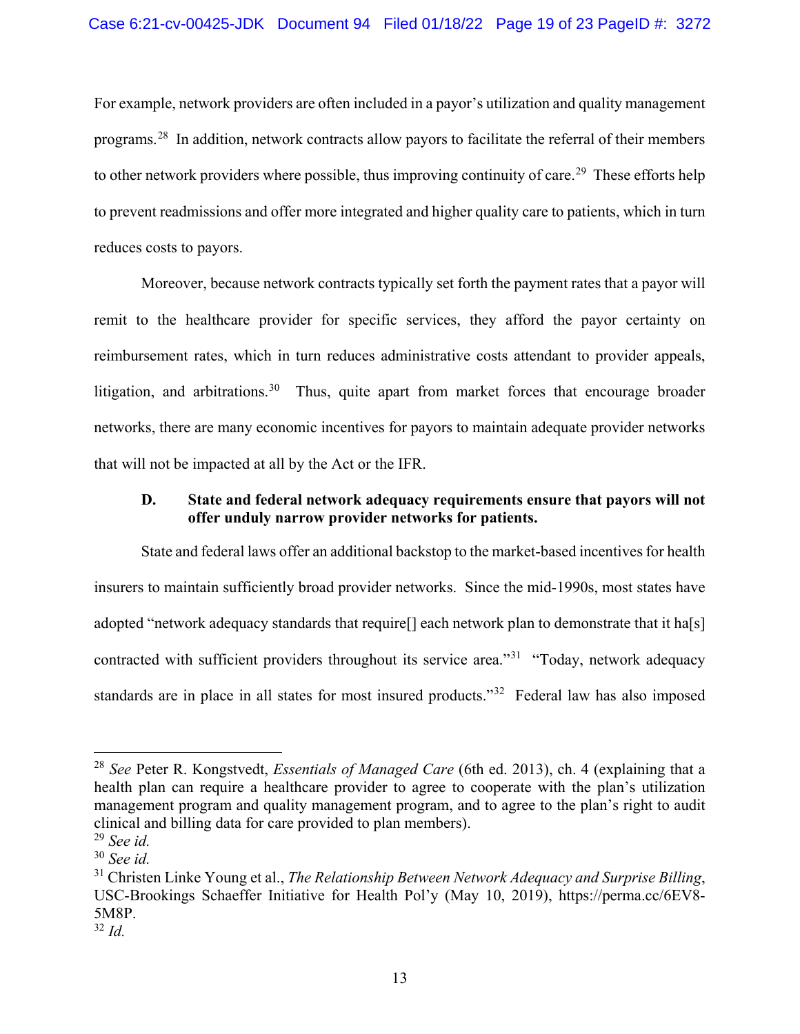For example, network providers are often included in a payor's utilization and quality management programs.[28](#page-18-3) In addition, network contracts allow payors to facilitate the referral of their members to other network providers where possible, thus improving continuity of care.<sup>29</sup> These efforts help to prevent readmissions and offer more integrated and higher quality care to patients, which in turn reduces costs to payors.

Moreover, because network contracts typically set forth the payment rates that a payor will remit to the healthcare provider for specific services, they afford the payor certainty on reimbursement rates, which in turn reduces administrative costs attendant to provider appeals, litigation, and arbitrations.<sup>[30](#page-18-5)</sup> Thus, quite apart from market forces that encourage broader networks, there are many economic incentives for payors to maintain adequate provider networks that will not be impacted at all by the Act or the IFR.

## <span id="page-18-0"></span>**D. State and federal network adequacy requirements ensure that payors will not offer unduly narrow provider networks for patients.**

State and federal laws offer an additional backstop to the market-based incentives for health insurers to maintain sufficiently broad provider networks. Since the mid-1990s, most states have adopted "network adequacy standards that require<sup>[]</sup> each network plan to demonstrate that it ha<sup>[s]</sup> contracted with sufficient providers throughout its service area."<sup>[31](#page-18-6)</sup> "Today, network adequacy standards are in place in all states for most insured products."[32](#page-18-7) Federal law has also imposed

<span id="page-18-3"></span><span id="page-18-2"></span> <sup>28</sup> *See* Peter R. Kongstvedt, *Essentials of Managed Care* (6th ed. 2013), ch. 4 (explaining that a health plan can require a healthcare provider to agree to cooperate with the plan's utilization management program and quality management program, and to agree to the plan's right to audit clinical and billing data for care provided to plan members).

<span id="page-18-4"></span><sup>29</sup> *See id.*

<span id="page-18-5"></span><sup>30</sup> *See id.*

<span id="page-18-6"></span><span id="page-18-1"></span><sup>31</sup> Christen Linke Young et al., *The Relationship Between Network Adequacy and Surprise Billing*, USC-Brookings Schaeffer Initiative for Health Pol'y (May 10, 2019), https://perma.cc/6EV8- 5M8P.

<span id="page-18-7"></span><sup>32</sup> *Id.*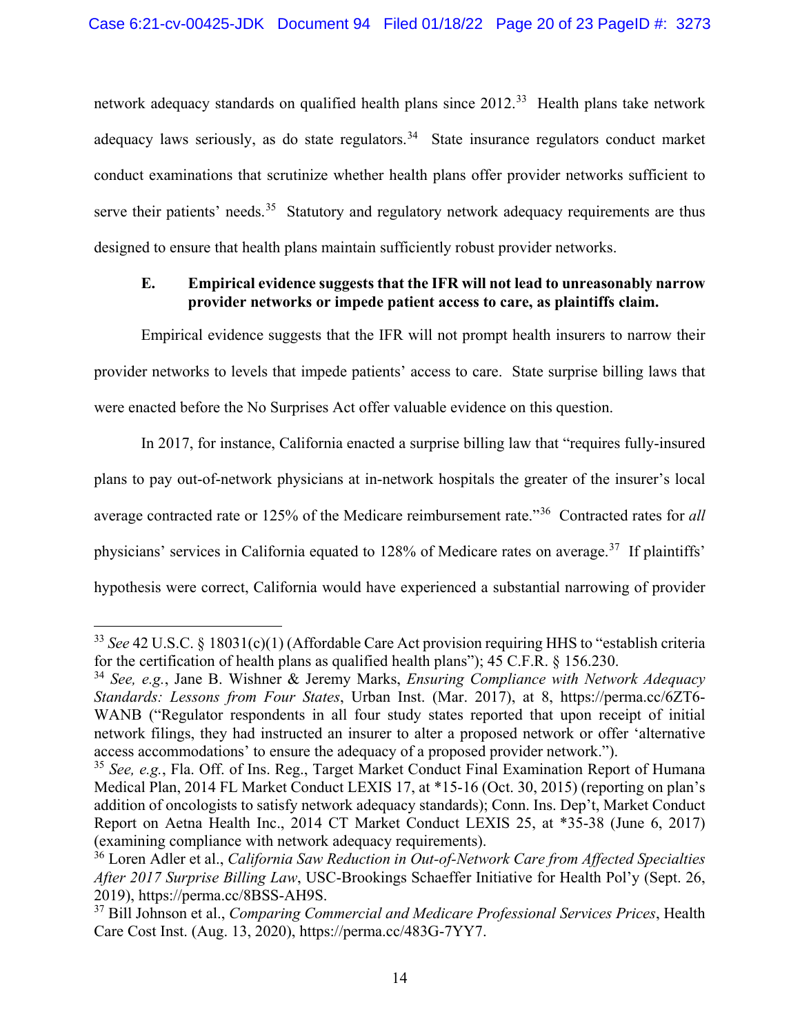network adequacy standards on qualified health plans since 2012.<sup>[33](#page-19-8)</sup> Health plans take network adequacy laws seriously, as do state regulators.<sup>34</sup> State insurance regulators conduct market conduct examinations that scrutinize whether health plans offer provider networks sufficient to serve their patients' needs.<sup>35</sup> Statutory and regulatory network adequacy requirements are thus designed to ensure that health plans maintain sufficiently robust provider networks.

## <span id="page-19-0"></span>**E. Empirical evidence suggests that the IFR will not lead to unreasonably narrow provider networks or impede patient access to care, as plaintiffs claim.**

Empirical evidence suggests that the IFR will not prompt health insurers to narrow their provider networks to levels that impede patients' access to care. State surprise billing laws that were enacted before the No Surprises Act offer valuable evidence on this question.

<span id="page-19-13"></span>In 2017, for instance, California enacted a surprise billing law that "requires fully-insured plans to pay out-of-network physicians at in-network hospitals the greater of the insurer's local average contracted rate or 125% of the Medicare reimbursement rate."[36](#page-19-11) Contracted rates for *all* physicians' services in California equated to 128% of Medicare rates on average.[37](#page-19-12) If plaintiffs' hypothesis were correct, California would have experienced a substantial narrowing of provider

<span id="page-19-8"></span><span id="page-19-1"></span> <sup>33</sup> *See* 42 U.S.C. § 18031(c)(1) (Affordable Care Act provision requiring HHS to "establish criteria for the certification of health plans as qualified health plans"); 45 C.F.R. § 156.230.

<span id="page-19-9"></span><span id="page-19-6"></span><span id="page-19-2"></span><sup>34</sup> *See, e.g.*, Jane B. Wishner & Jeremy Marks, *Ensuring Compliance with Network Adequacy Standards: Lessons from Four States*, Urban Inst. (Mar. 2017), at 8, https://perma.cc/6ZT6- WANB ("Regulator respondents in all four study states reported that upon receipt of initial network filings, they had instructed an insurer to alter a proposed network or offer 'alternative access accommodations' to ensure the adequacy of a proposed provider network.").

<span id="page-19-10"></span><span id="page-19-5"></span><span id="page-19-4"></span><sup>35</sup> *See, e.g.*, Fla. Off. of Ins. Reg., Target Market Conduct Final Examination Report of Humana Medical Plan, 2014 FL Market Conduct LEXIS 17, at \*15-16 (Oct. 30, 2015) (reporting on plan's addition of oncologists to satisfy network adequacy standards); Conn. Ins. Dep't, Market Conduct Report on Aetna Health Inc., 2014 CT Market Conduct LEXIS 25, at \*35-38 (June 6, 2017) (examining compliance with network adequacy requirements).

<span id="page-19-11"></span><span id="page-19-7"></span><sup>36</sup> Loren Adler et al., *California Saw Reduction in Out-of-Network Care from Affected Specialties After 2017 Surprise Billing Law*, USC-Brookings Schaeffer Initiative for Health Pol'y (Sept. 26, 2019), https://perma.cc/8BSS-AH9S.

<span id="page-19-12"></span><span id="page-19-3"></span><sup>37</sup> Bill Johnson et al., *Comparing Commercial and Medicare Professional Services Prices*, Health Care Cost Inst. (Aug. 13, 2020), https://perma.cc/483G-7YY7.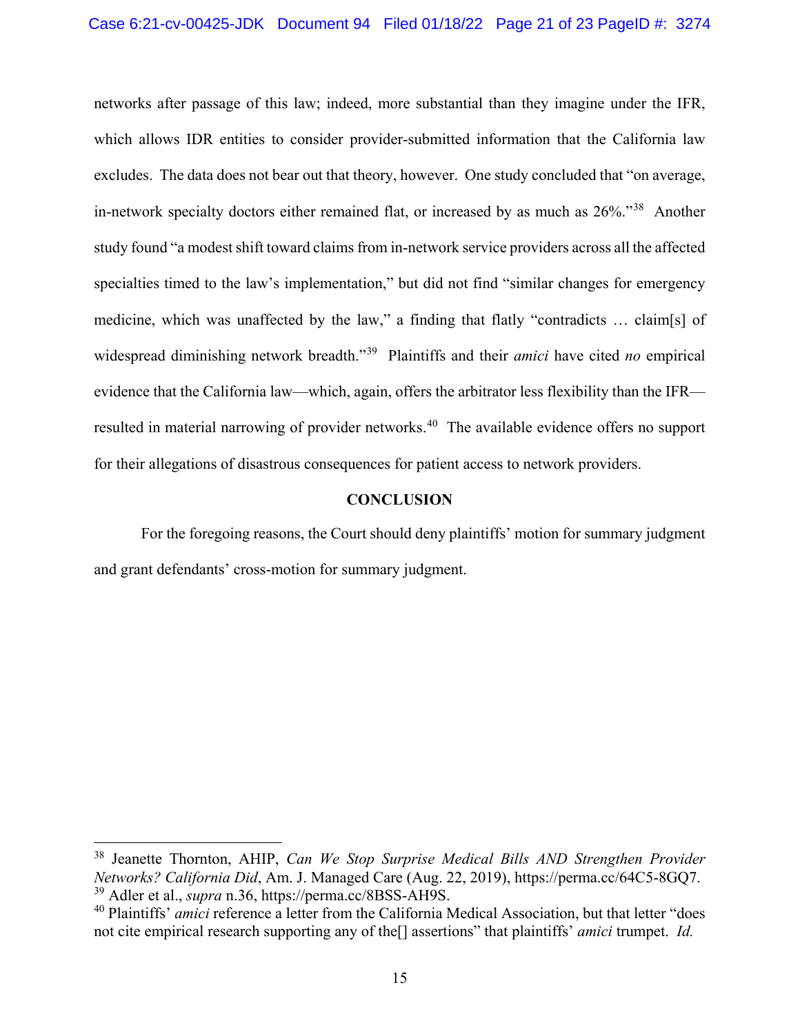networks after passage of this law; indeed, more substantial than they imagine under the IFR, which allows IDR entities to consider provider-submitted information that the California law excludes. The data does not bear out that theory, however. One study concluded that "on average, in-network specialty doctors either remained flat, or increased by as much as 26%."[38](#page-20-3) Another study found "a modest shift toward claims from in-network service providers across all the affected specialties timed to the law's implementation," but did not find "similar changes for emergency medicine, which was unaffected by the law," a finding that flatly "contradicts … claim[s] of widespread diminishing network breadth."[39](#page-20-4) Plaintiffs and their *amici* have cited *no* empirical evidence that the California law—which, again, offers the arbitrator less flexibility than the IFR— resulted in material narrowing of provider networks.<sup>[40](#page-20-5)</sup> The available evidence offers no support for their allegations of disastrous consequences for patient access to network providers.

#### **CONCLUSION**

<span id="page-20-0"></span>For the foregoing reasons, the Court should deny plaintiffs' motion for summary judgment and grant defendants' cross-motion for summary judgment.

<span id="page-20-3"></span><span id="page-20-1"></span> <sup>38</sup> Jeanette Thornton, AHIP, *Can We Stop Surprise Medical Bills AND Strengthen Provider Networks? California Did*, Am. J. Managed Care (Aug. 22, 2019), https://perma.cc/64C5-8GQ7. <sup>39</sup> Adler et al., *supra* n[.36,](#page-19-13) https://perma.cc/8BSS-AH9S.

<span id="page-20-5"></span><span id="page-20-4"></span><span id="page-20-2"></span><sup>40</sup> Plaintiffs' *amici* reference a letter from the California Medical Association, but that letter "does not cite empirical research supporting any of the[] assertions" that plaintiffs' *amici* trumpet. *Id.*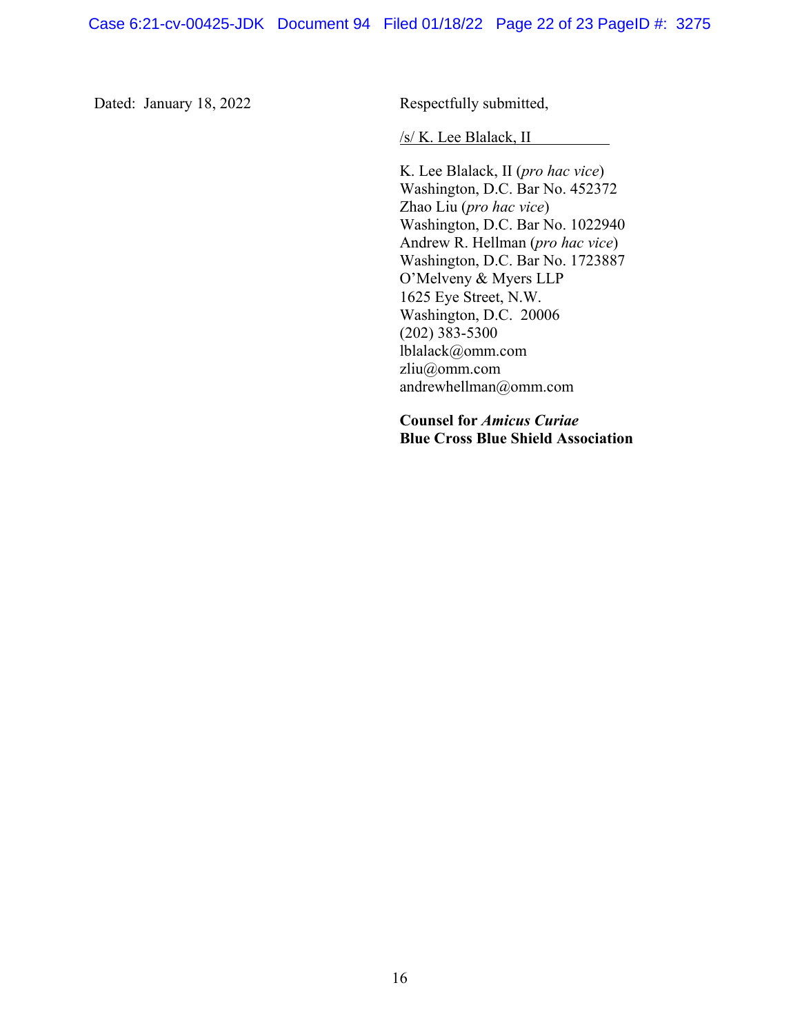Dated: January 18, 2022 Respectfully submitted,

/s/ K. Lee Blalack, II

K. Lee Blalack, II (*pro hac vice*) Washington, D.C. Bar No. 452372 Zhao Liu (*pro hac vice*) Washington, D.C. Bar No. 1022940 Andrew R. Hellman (*pro hac vice*) Washington, D.C. Bar No. 1723887 O'Melveny & Myers LLP 1625 Eye Street, N.W. Washington, D.C. 20006 (202) 383-5300 lblalack@omm.com zliu@omm.com andrewhellman@omm.com

**Counsel for** *Amicus Curiae* **Blue Cross Blue Shield Association**